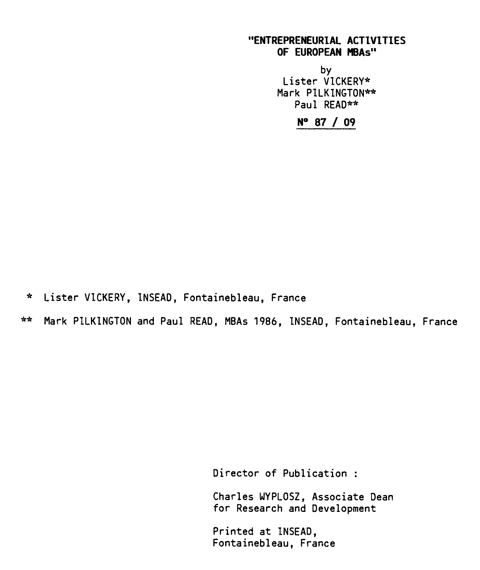# **"ENTREPRENEURIAL ACTIVITIES OF EUROPEAN MBAs"**

by Lister VICKERY\* Mark PILKINGTON\*\* Paul READ\*\*

**N° 87 / 09** 

\* Lister VICKERY, INSEAD, Fontainebleau, France

\*\* Mark PILKINGTON and Paul READ, MBAs 1986, INSEAD, Fontainebleau, France

Director of Publication :

Charles WYPLOSZ, Associate Dean for Research and Development

Printed at INSEAD, Fontainebleau, France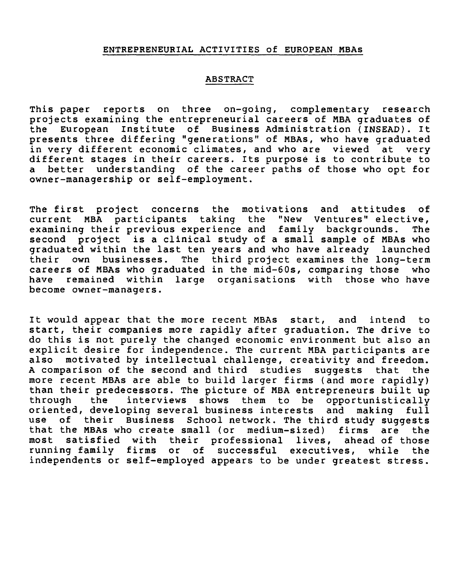# **ENTREPRENEURIAL ACTIVITIES of EUROPEAN MBAs**

#### **ABSTRACT**

**This paper reports on three on-going, complementary research projects examining the entrepreneurial careers of MBA graduates of the European Institute of Business Administration (INSEAD). It presents three differing "generations" of MBAs, who have graduated in very different economic climates, and who are viewed at very different stages in their careers. Its purpose is to contribute to a better understanding of the career paths of those who opt for owner-managership or self-employment.** 

**The first project concerns the motivations and attitudes of current MBA participants taking the "New Ventures" elective, examining their previous experience and family backgrounds. The second project is a clinical study of a small sample of MBAs who graduated within the last ten years and who have already launched their own businesses. The third project examines the long-term careers of MBAs who graduated in the mid-60s, comparing those who have remained within large organisations with those who have become owner-managers.** 

**It would appear that the more recent MBAs start, and intend to start, their companies more rapidly after graduation. The drive to do this is not purely the changed economic environment but also an explicit desire for independence. The current MBA participants are also motivated by intellectual challenge, creativity and freedom.**  A comparison of the second and third studies **more recent MBAs are able to build larger firms (and more rapidly) than their predecessors. The picture of MBA entrepreneurs built up through the interviews shows them to be opportunistically oriented, developing several business interests and making full use of their Business School network. The third study suggests that the MBAs who create small (or medium-sized) firms are the most satisfied with their professional lives, ahead of those running family firms or of successful executives, while the independents or self-employed appears to be under greatest stress.**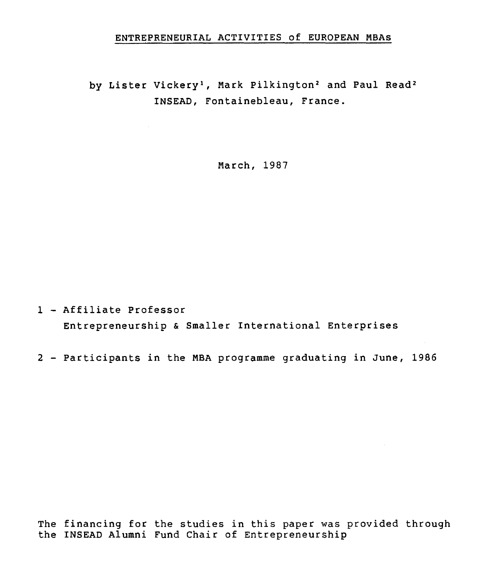# ENTREPRENEURIAL ACTIVITIES of EUROPEAN MBAs

by Lister Vickery<sup>1</sup>, Mark Pilkington<sup>2</sup> and Paul Read<sup>2</sup> INSEAD, Fontainebleau, France.

March, 1987

1 - Affiliate Professor Entrepreneurship & Smaller International Enterprises

2 - Participants in the MBA programme graduating in June, 1986

The financing for the studies in this paper was provided through the INSEAD Alumni Fund Chair of Entrepreneurship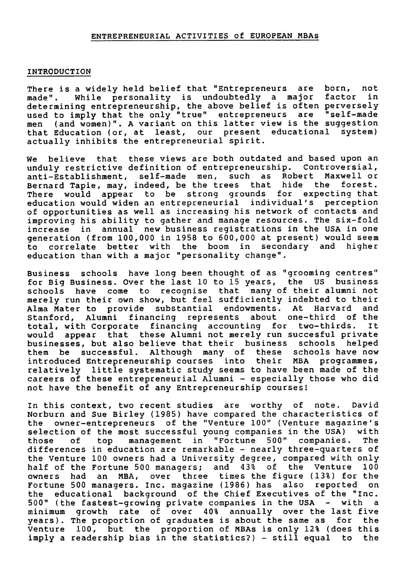#### **ENTREPRENEURIAL ACTIVITIES of EUROPEAN MBAs**

#### **INTRODUCTION**

**There is a widely held belief that "Entrepreneurs are born, not**  made". While personality is undoubtedly a major **determining entrepreneurship, the above belief is often perversely**  used to imply that the only "true" entrepreneurs are **men (and women)". A variant on this latter view is the suggestion that Education (or, at least, our present educational system) actually inhibits the entrepreneurial spirit.** 

**We believe that these views are both outdated and based upon an unduly restrictive definition of entrepreneurship. Controversial, anti-Establishment, self-made men, such as Robert Maxwell or Bernard Tapie, may, indeed, be the trees that hide the forest. There would appear to be strong grounds for expecting that education would widen an entrepreneurial individual's perception of opportunities as well as increasing his network of contacts and improving his ability to gather and manage resources. The six-fold increase in annual new business registrations in the USA in one generation (from 100,000 in 1958 to 600,000 at present) would seem to correlate better with the boom in secondary and higher education than with a major "personality change".** 

**Business schools have long been thought of as "grooming centres" for Big Business. Over the last 10 to 15 years, the US business schools have come to recognise that many of their alumni not merely run their own show, but feel sufficiently indebted to their Alma Mater to provide substantial endowments. At Harvard and Stanford, Alumni financing represents about one-third of the total, with Corporate financing accounting for two-thirds. It would appear that these Alumni not merely run succesful private businesses, but also believe that their business schools helped them be successful. Although many of these schools have now introduced Entrepreneurship courses into their MBA programmes, relatively little systematic study seems to have been made of the careers of these entrepreneurial Alumni - especially those who did not have the benefit of any Entrepreneurship courses!** 

**In this context, two recent studies are worthy of note. David Norburn and Sue Birley (1985) have compared the characteristics of the owner-entrepreneurs of the "Venture 100" (Venture magazine's selection of the most successful young companies in the USA) with those of top management in "Fortune 500" companies. The differences in education are remarkable - nearly three-quarters of the Venture 100 owners had a University degree, compared with only half of the Fortune 500 managers; and 43% of the Venture 100 owners had an MBA, over three times the figure (13%) for the Fortune 500 managers. Inc. magazine (1986) has also reported on the educational background of the Chief Executives of the "Inc. 500" (the fastest-growing private companies in the USA - with a minimum growth rate of over 40% annually over the last five years). The proportion of graduates is about the same as for the Venture 100, but the proportion of MBAs is only 12% (does this imply a readership bias in the statistics?) - still equal to the**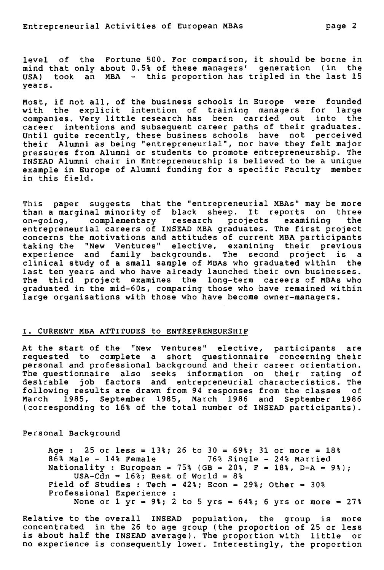**level of the Fortune 500. For comparison, it should be borne in mind that only about 0.5% of these managers' generation (in the USA) took an MBA - this proportion has tripled in the last 15 years.** 

**Most, if not all, of the business schools in Europe were founded with the explicit intention of training managers for large companies. Very little research has been carried out into the career intentions and subsequent career paths of their graduates. Until quite recently, these business schools have not perceived their Alumni as being "entrepreneurial", nor have they felt major pressures from Alumni or students to promote entrepreneurship. The INSEAD Alumni chair in Entrepreneurship is believed to be a unique example in Europe of Alumni funding for a specific Faculty member in this field.** 

**This paper suggests that the "entrepreneurial MBAs" may be more than a marginal minority of black sheep. It reports on three on-going, complementary research projects examining the entrepreneurial careers of INSEAD MBA graduates. The first project concerns the motivations and attitudes of current MBA participants taking the "New Ventures" elective, examining their previous experience and family backgrounds. The second project is a clinical study of a small sample of MBAs who graduated within the last ten years and who have already launched their own businesses. The third project examines the long-term careers of MBAs who graduated in the mid-60s, comparing those who have remained within large organisations with those who have become owner-managers.** 

#### **I. CURRENT MBA ATTITUDES to ENTREPRENEURSHIP**

**At the start of the "New Ventures" elective, participants are requested to complete a short questionnaire concerning their personal and professional background and their career orientation. The questionnaire also seeks information on their rating of desirable job factors and entrepreneurial characteristics. The following results are drawn from 94 responses from the classes of March 1985, September 1985, March 1986 and September 1986 (corresponding to 16% of the total number of INSEAD participants).** 

**Personal Background** 

**Age : 25 or less = 13%; 26 to 30 = 69%; 31 or more = 18% 86% Male - 14% Female 76% Single - 24% Married Nationality : European = 75% (GB = 20%, F = 18%, D-A = 9%); USA-Cdn = 16%; Rest of World = 8% Field of Studies : Tech = 42%; Econ = 29%; Other = 30% Professional Experience : None or 1 yr = 9%; 2 to 5 yrs = 64%; 6 yrs or more = 27%** 

**Relative to the overall INSEAD population, the group is more concentrated in the 26 to age group (the proportion of 25 or less is about half the INSEAD average). The proportion with little or no experience is consequently lower. Interestingly, the proportion**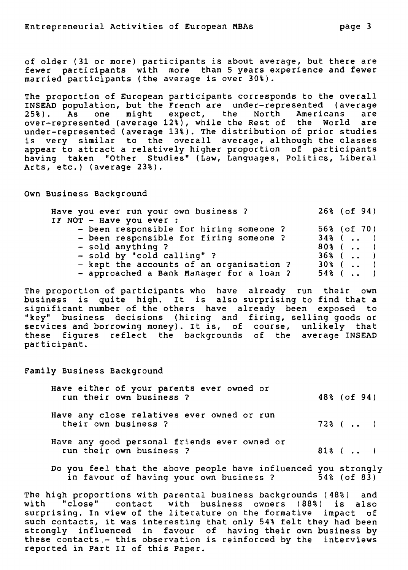**of older (31 or more) participants is about average, but there are fewer participants with more than 5 years experience and fewer married participants (the average is over 30%).** 

**The proportion of European participants corresponds to the overail INSEAD population, but the French are under-represented (average 25%). As one might expect, the North Americans are over-represented (average 12%), while the Rest of the World are under-represented (average 13%). The distribution of prior studies is very similar to the overail average, although the classes appear to attract a relatively higher proportion of participants having taken "Other Studies" (Law, Languages, Politics, Liberal Arts, etc.) (average 23%).** 

**Own Business Background** 

| Have you ever run your own business?     | $26\frac{1}{6}$ (of 94) |
|------------------------------------------|-------------------------|
| IF NOT - Have you ever :                 |                         |
| - been responsible for hiring someone ?  | 56% (of 70)             |
| - been responsible for firing someone?   | $34\%$ (  )             |
| - sold anything ?                        | $80\frac{6}{3}$ ( )     |
| - sold by "cold calling" ?               | $36\frac{6}{3}$ (  )    |
| - kept the accounts of an organisation ? | $30\%$ (  )             |
| - approached a Bank Manager for a loan ? | $54\%$ ( )              |

**The proportion of participants who have already run their own business is quite high. It is also surprising to find that a significant number of the others have already been exposed to "key" business decisions (hiring and firing, selling goods or services and borrowing money). It is, of course, unlikely that these figures reflect the backgrounds of the average INSEAD participant.** 

**Family Business Background** 

| Have either of your parents ever owned or<br>run their own business? | $48\frac{1}{6}$ (of 94) |
|----------------------------------------------------------------------|-------------------------|
| Have any close relatives ever owned or run<br>their own business ?   | 72% ()                  |
| Have any good personal friends ever owned or                         |                         |

**Have any good personal friends ever owned or run their own business ?** 81% ( .. )

**Do you feel that the above people have influenced you strongly**  in favour of having your own business ?

**The high proportions with parental business backgrounds (48%) and with "close" contact with business owners (88%) is also surprising. In view of the literature on the formative impact of such contacts, it was interesting that only 54% felt they had been strongly influenced in favour of having their own business by these contacts,- this observation is reinforced by the interviews reported in Part II of this Paper.**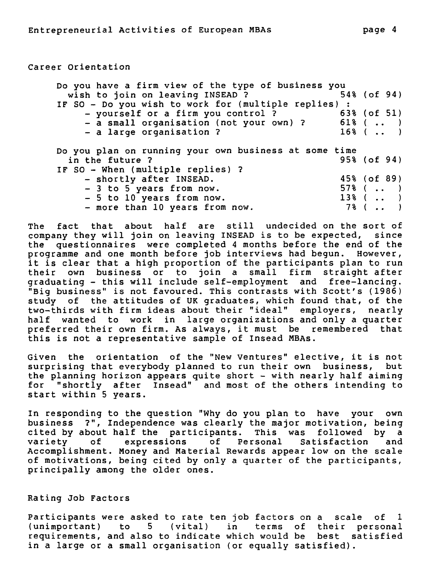```
Career Orientation
```

| Do you have a firm view of the type of business you   |                    |
|-------------------------------------------------------|--------------------|
| wish to join on leaving INSEAD ?                      | 54% (of 94)        |
| IF SO - Do you wish to work for (multiple replies) :  |                    |
| - yourself or a firm you control?                     | 63% (of 51)        |
| - a small organisation (not your own) ?               | $61\%$ ()          |
| - a large organisation ?                              | $16\%$ (  )        |
|                                                       |                    |
| Do you plan on running your own business at some time |                    |
| in the future ?                                       | 95% (of 94)        |
| IF SO - When (multiple replies) ?                     |                    |
| - shortly after INSEAD.                               | 45% (of 89)        |
| - 3 to 5 years from now.                              | $57\%$ (  )        |
| - 5 to 10 years from now.                             | $13\%$ (  )        |
| - more than 10 years from now.                        | $7\%$ ( $\ldots$ ) |

**The fact that about half are still undecided on the sort of company they will join on leaving INSEAD is to be expected, since the questionnaires were completed 4 months before the end of the programme and one month before job interviews had begun. However, it is clear that a high proportion of the participants plan to run their own business or to join a small firm straight after graduating - this will include self-employment and free-lancing. "Big business" is not favoured. This contrasts with Scott's (1986) study of the attitudes of UK graduates, which found that, of the two-thirds with firm ideas about their "ideal" employers, nearly half wanted to work in large organizations and only a quarter preferred their own firm. As always, it must be remembered that this is not a representative sample of Insead MBAs.** 

**Given the orientation of the "New Ventures" elective, it is not**  surprising that everybody planned to run their own business, **the planning horizon appears quite short - with nearly half aiming for "shortly after Insead" and most of the others intending to start within 5 years.** 

**In responding to the question "Why do you plan to have your own business ?", Independence was clearly the major motivation, being cited by about half the participants. This was followed by a variety of expressions of Personal Satisfaction and Accomplishment. Money and Material Rewards appear low on the scale of motivations, being cited by only a quarter of the participants, principally among the aider ones.** 

#### **Rating Job Factors**

**Participants were asked to rate ten job factors on a scale of 1 (unimportant) to 5 (vital) in terms of their personal requirements, and also to indicate which would be best satisfied in a large or a small organisation (or equally satisfied).**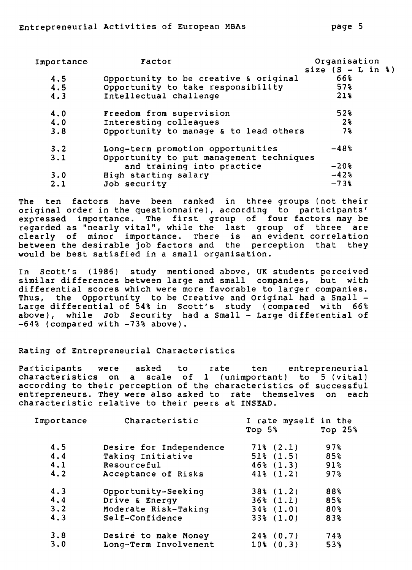| Importance | Factor                                   | Organisation        |  |
|------------|------------------------------------------|---------------------|--|
|            |                                          | size $(S - L in 8)$ |  |
| 4.5        | Opportunity to be creative & original    | 66%                 |  |
| 4.5        | Opportunity to take responsibility       | 57%                 |  |
| 4.3        | Intellectual challenge                   | 21%                 |  |
| 4.0        | Freedom from supervision                 | 52%                 |  |
| 4.0        | Interesting colleagues                   | 2 <sup>8</sup>      |  |
| 3.8        | Opportunity to manage & to lead others   | 7%                  |  |
| 3.2        | Long-term promotion opportunities        | $-48%$              |  |
| 3.1        | Opportunity to put management techniques |                     |  |
|            | and training into practice               | $-20%$              |  |
| 3.0        | High starting salary                     | $-42%$              |  |
| 2.1        | Job security                             | $-73%$              |  |

**The ten factors have been ranked in three groups (not their original order in the questionnaire), according to participants' expressed importance. The first group of four factors may be regarded as "nearly vital", while the last group of three are clearly of minor importance. There is an evident correlation between the desirable job factors and the perception that they would be best satisfied in a small organisation.** 

**In Scott's (1986) study mentioned above, UK students perceived similar differences between large and small companies, but with differential scores which were more favorable to larger companies. Thus, the Opportunity to be Creative and Original had a Small - Large differential of 54% in Scott's study (compared with 66% above), while Job Security had a Small - Large differential of -64% (compared with -73% above).** 

#### **Rating of Entrepreneurial Characteristics**

**Participants were asked to rate ten entrepreneurial characteristics on a scale of 1 (unimportant) to 5 (vital) according to their perception of the characteristics of successful entrepreneurs. They were also asked to rate themselves on each characteristic relative to their peers at INSEAD.** 

| Importance | Characteristic          | I rate myself in the<br>Top $5\%$ | Top $25%$         |
|------------|-------------------------|-----------------------------------|-------------------|
| 4.5        | Desire for Independence | $71\frac{2}{6}$ (2.1)             | $97$ <sup>8</sup> |
| 4.4        | Taking Initiative       | $51\%$ $(1.5)$                    | 85%               |
| 4.1        | Resourceful             | $46\%$ $(1.3)$                    | 91%               |
| 4.2        | Acceptance of Risks     | $41\%$ $(1.2)$                    | 97%               |
| 4.3        | Opportunity-Seeking     | $38\frac{1}{2}$ (1.2)             | 88%               |
| 4.4        | Drive & Energy          | $36\%$ $(1.1)$                    | 85%               |
| 3.2        | Moderate Risk-Taking    | $34\frac{1}{6}$ (1.0)             | 80%               |
| 4.3        | Self-Confidence         | $33\frac{6}{6}$ (1.0)             | 83%               |
| 3.8        | Desire to make Money    | $24\frac{3}{6}$ (0.7)             | 74%               |
| 3.0        | Long-Term Involvement   | $10\frac{1}{6}$ (0.3)             | 53%               |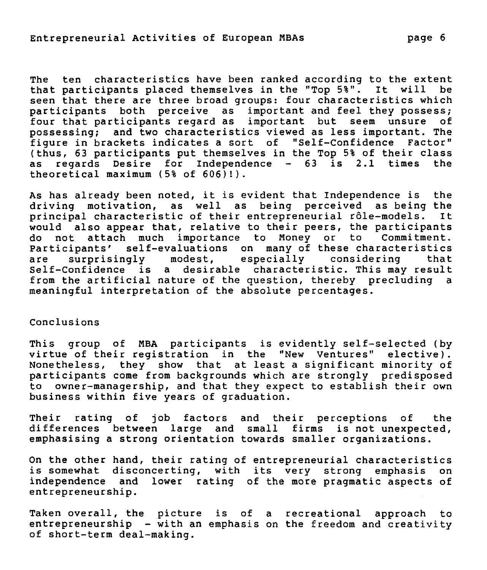**The ten characteristics have been ranked according to the extent that participants placed themselves in the "Top 5%". It will be seen that there are three broad groups: four characteristics which participants both perceive as important and feel they possess; four that participants regard as important but seem unsure of possessing; and two characteristics viewed as less important. The figure in brackets indicates a sort of "Self-Confidence Factor"**  (thus, 63 participants put themselves in the Top 5% of their class **as regards Desire for Independence - 63 is 2.1 times the theoretical maximum (5% of 606)!).** 

**As has already been noted, it is evident that Independence is the driving motivation, as well as being perceived as being the principal characteristic of their entrepreneurial rôle-models. It would also appear that, relative to their peers, the participants do not attach much importance to Money or to Commitment. Participants' self-evaluations on many of these characteristics are surprisingly modest, especially considering that Self-Confidence is a desirable characteristic. This may result from the artificial nature of the question, thereby precluding a meaningful interpretation of the absolute percentages.** 

# **Conclusions**

**This group of MBA participants is evidently self-selected (by virtue of their registration in the "New Ventures" elective). Nonetheless, they show that at least a significant minority of**  participants come from backgrounds which are strongly predisposed **to owner-managership, and that they expect to establish their own business within five years of graduation.** 

**Their rating of job factors and their perceptions of the differences between large and small firms is not unexpected, emphasising a strong orientation towards smaller organizations.** 

**On the other hand, their rating of entrepreneurial characteristics is somewhat disconcerting, with its very strong emphasis on independence and lower rating of the more pragmatic aspects of entrepreneurship.** 

**Taken overall, the picture is of a recreational approach to entrepreneurship - with an emphasis on the freedom and creativity of short-term deal-making.**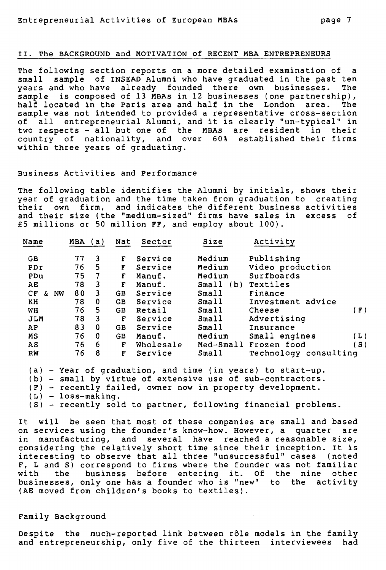## II. The BACKGROUND and MOTIVATION of RECENT MBA ENTREPRENEURS

The following section reports on a more detailed examination of a small sample of INSEAD Alumni who have graduated in the past ten years and who have already founded there own businesses. The sample is composed of 13 MBAs in 12 businesses (one partnership), half located in the Paris area and half in the London area. The sample was not intended to provided a representative cross-section of all entrepreneurial Alumni, and it is clearly "un-typical" in two respects - all but one of the MBAs are resident in their country of nationality, and over 60% established their firms within three years of graduating.

#### Business Activities and Performance

The following table identifies the Alumni by initials, shows their year of graduation and the time taken from graduation to creating their own firm, and indicates the different business activities and their size (the "medium-sized" firms have sales in excess of £5 millions or 50 million **FF,** and employ about 100).

| Name      |    | MBA | a)             | Nat       | Sector    | Size      | Activity              |     |
|-----------|----|-----|----------------|-----------|-----------|-----------|-----------------------|-----|
| GB        |    | 77  | 3              | F         | Service   | Medium    | Publishing            |     |
| PDr       |    | 76  | 5              | F         | Service   | Medium    | Video production      |     |
| PDu       |    | 75  | $\overline{7}$ | F         | Manuf.    | Medium    | Surfboards            |     |
| AE        |    | 78  | 3              | F         | Manuf.    | Small(b)  | Textiles              |     |
| CF<br>£.  | NW | 80  | 3              | GB        | Service   | Small     | Finance               |     |
| KH        |    | 78  | $\bf{0}$       | <b>GB</b> | Service   | Small     | Investment advice     |     |
| WH        |    | 76  | $\overline{5}$ | <b>GB</b> | Retail    | Small     | Cheese                | (F) |
| JLM       |    | 78  | 3              | F         | Service   | Small     | Advertising           |     |
| AP        |    | 83  | $\mathbf{0}$   | GB        | Service   | Small     | Insurance             |     |
| <b>MS</b> |    | 76  | $\mathbf 0$    | <b>GB</b> | Manuf.    | Medium    | Small engines         | (L) |
| AS        |    | 76  | 6              | F         | Wholesale | Med-Small | Frozen food           | .S) |
| RW        |    | 76  | 8              | F         | Service   | Small     | Technology consulting |     |

(a) - Year of graduation, and time (in years) to start-up.

(b) - small by virtue of extensive use of sub-contractors.

(F) - recently failed, owner now in property development.

(L) - loss-making.

(S) - recently sold to partner, following financial problems.

It will be seen that most of these companies are small and based on services using the founder's know-how. However, a quarter are in manufacturing, and several have reached a reasonable size, considering the relatively short time since their inception. It is interesting to observe that all three "unsuccessful" cases (noted F, L and S) correspond to firms where the founder was not familiar with the business before entering it. Of the nine other businesses, only one has a founder who is "new" to the activity (AE moved from children's books to textiles).

#### Family Background

Despite the much-reported link between rôle models in the family and entrepreneurship, only five of the thirteen interviewees had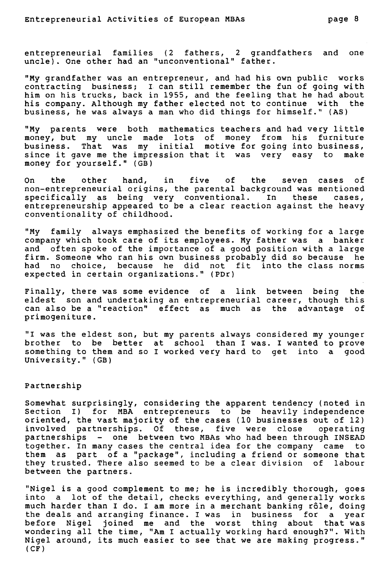entrepreneurial families (2 fathers, 2 grandfathers and one uncle). One other had an "unconventional" father.

"My grandfather was an entrepreneur, and had his own public works contracting business; I can still remember the fun of going with him on his trucks, back in 1955, and the feeling that he had about his company. Although my father elected not to continue with the business, he was always a man who did things for himself." (AS)

"My parents were both mathematics teachers and had very little money, but my uncle made lots of money from his furniture business. That was my initial motive for going into business, since it gave me the impression that it was very easy to make money for yourself." (GB)

On the other hand, in five of the seven cases of non-entrepreneurial origins, the parental background was mentioned specifically as being very conventional. In these cases, entrepreneurship appeared to be a clear reaction against the heavy conventionality of childhood.

"My family always emphasized the benefits of working for a large company which took care of its employees. My father was a banker and often spoke of the importance of a good position with a large firm. Someone who ran his own business probably did so because he had no choice, because he did not fit into the class norms expected in certain organizations." (PDr)

Finally, there was some evidence of a link between being the eldest son and undertaking an entrepreneurial career, though this<br>can also be a "reaction" effect as much as the advantage of can also be a "reaction" effect as much as the advantage primogeniture.

"I was the eldest son, but my parents always considered my younger brother to be better at school than I was. I wanted to prove something to them and so I worked very hard to get into a good University." (GB)

#### Partnership

Somewhat surprisingly, considering the apparent tendency (noted in Section I) for MBA entrepreneurs to be heavily independence oriented, the vast majority of the cases (10 businesses out of 12) involved partnerships. Of these, five were close operating partnerships - one between two MBAs who had been through INSEAD together. In many cases the central idea for the company came to them as part of a "package", including a friend or someone that they trusted. There also seemed to be a clear division of labour between the partners.

"Nigel is a good complement to me; he is incredibly thorough, goes into a lot of the detail, checks everything, and generally works much harder than I do. I am more in a merchant banking rôle, doing the deals and arranging finance. I was in business for a year before Nigel joined me and the worst thing about that was wondering all the time, "Am I actually working hard enough?". With Nigel around, its much easier to see that we are making progress."  $(CF)$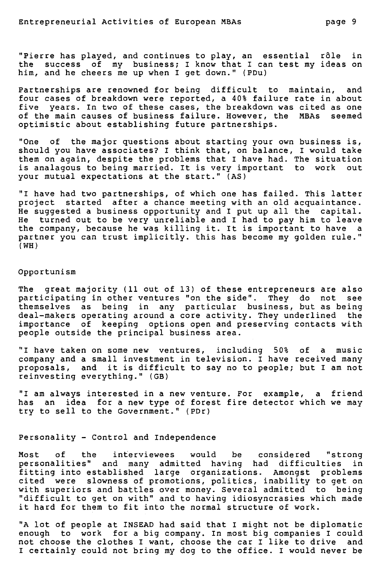"Pierre has played, and continues to play, an essential rôle in the success of my business; I know that I can test my ideas on him, and he cheers me up when I get down." (PDu)

Partnerships are renowned for being difficult to maintain, and four cases of breakdown were reported, a 40% failure rate in about five years. In two of these cases, the breakdown was cited as one of the main causes of business failure. However, the MBAs seemed optimistic about establishing future partnerships.

"One of the major questions about starting your own business is, should you have associates? I think that, on balance, I would take them on again, despite the problems that I have had. The situation is analagous to being married. It is very important to work out your mutual expectations at the start." (AS)

"I have had two partnerships, of which one has failed. This latter project started after a chance meeting with an old acquaintance. He suggested a business opportunity and I put up all the capital. He turned out to be very unreliable and I had to pay him to leave the company, because he was killing it. It is important to have a partner you can trust implicitly. this has become my golden rule." (WH)

#### Opportunism

The great majority (11 out of 13) of these entrepreneurs are also participating in other ventures "on the side". They do not see themselves as being in any particular business, but as being deal-makers operating around a core activity. They underlined the importance of keeping options open and preserving contacts with people outside the principal business area.

"I have taken on some new ventures, including 50% of a music company and a small investment in television. I have received many proposals, and it is difficult to say no to people; but I am not reinvesting everything." (GB)

"I am always interested in a new venture. For example, a friend<br>has an idea for a new type of forest fire detector which we mav an idea for a new type of forest fire detector which we may try to sell to the Government." (PDr)

#### Personality - Control and Independence

Most of the interviewees would be considered "strong personalities" and many admitted having had difficulties in fitting into established large organizations. Amongst problems cited were slowness of promotions, politics, inability to get on with superiors and battles over money. Several admitted to being "difficult to get on with" and to having idiosyncrasies which made it hard for them to fit into the normal structure of work.

"A lot of people at INSEAD had said that I might not be diplomatic enough to work for a big company. In most big companies I could not choose the clothes I want, choose the car I like to drive and I certainly could not being my dog to the office. I would never be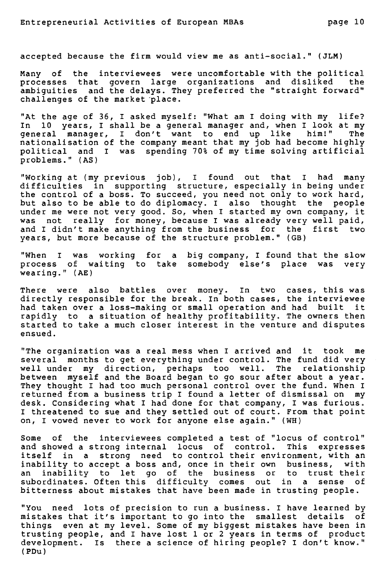accepted because the firm would view me as anti-social." (JLM)

Many of the interviewees were uncomfortable with the political processes that govern large organizations and disliked the ambiguities and the delays. They preferred the "straight forward" challenges of the market place.

"At the age of 36, I asked myself: "What am I doing with my life? In 10 years, I shall be a general manager and, when I look at my<br>general manager, I don't want to end up like him!" The general manager, I don't want to end up like nationalisation of the company meant that my job had become highly political and I was spending 70% of my time solving artificiai problems." (AS)

"Working at (my previous job), I found out that I had many difficulties in supporting structure, especially in being under the control of a boss. To succeed, you need not only to work hard, but also to be able to do diplomacy. I also thought the people under me were not very good. So, when I started my own company, it was not really for money, because I was already very well paid, and I didn't make anything from the business for the first two years, but more because of the structure problem." (GB)

"When I was working for a big company, I found that the slow process of waiting to take somebody else's place was very wearing." (AE)

There were also battles over money. In two cases, this was directly responsible for the break. In both cases, the interviewee had taken over a loss-making or small operation and had built it rapidly to a situation of healthy profitability. The owners then started to take a much Gloser interest in the venture and disputes ensued.

"The organization was a real mess when I arrived and it took me several months to get everything under control. The fund did very well under my direction, perhaps too well. The relationship between myself and the Board began to go sour after about a year. They thought I had too much personal control over the fund. When I returned from a business trip I found a letter of dismissal on my desk. Considering what I had done for that company, I was furious. I threatened to sue and they settled out of court. From that point on, I vowed never to work for anyone else again." (WH)

Some of the interviewees completed a test of "locus of control" and showed a strong internai locus of control. This expresses itself in a strong need to control their environment, with an inability to accept a boss and, once in their own business, with an inability to let go of the business or to trust their subordinates. Often this difficulty comes out in a sense of bitterness about mistakes that have been made in trusting people.

"You need lots of precision to run a business. I have learned by mistakes that it's important to go into the smallest details of things even at my level. Some of my biggest mistakes have been in trusting people, and I have lost 1 or 2 years in terms of product development. Is there a science of hiring people? I don't know." (PDu)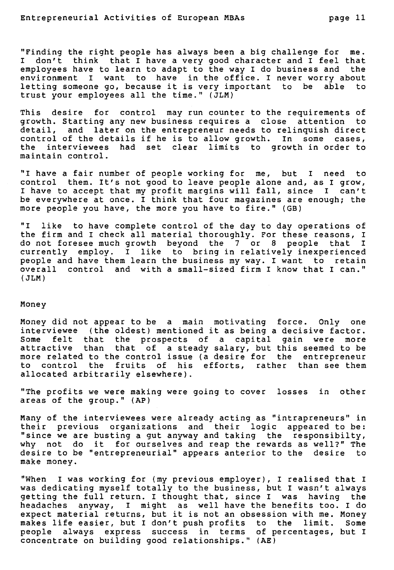"Finding the right people has always been a big challenge for me. I don't think that I have a very good character and I feel that employees have to learn to adapt to the way I do business and the environment I want to have in the office. I never worry about letting someone go, because it is very important to be able to trust your employees ail the time." (JLM)

This desire for control may run counter to the requirements of growth. Starting any new business requires a close attention to detail, and later on the entrepreneur needs to relinquish direct control of the details if he is to allow growth. In some cases, the interviewees had set clear limits to growth in order to maintain control.

"I have a fair number of people working for me, but I need to control them. It's not good to leave people alone and, as I grow, I have to accept that my profit margins will fall, since I can't be everywhere at once. I think that four magazines are enough; the more people you have, the more you have to fire." (GB)

"I like to have complete control of the day to day operations of the firm and I check all material thoroughly. For these reasons, I do not foresee much growth beyond the 7 or 8 people that I currently employ. I like to bring in relatively inexperienced people and have them learn the business my way. I want to retain overall control and with a small-sized firm I know that I can." (JLM)

#### **Money**

Money did not appear to be a main motivating force. Only one interviewee (the oldest) mentioned it as being a decisive factor. Some felt that the prospects of a capital gain were more attractive than that of a steady salary, but this seemed to be more related to the control issue (a desire for the entrepreneur to control the fruits of his efforts, rather than see them allocated arbitrarily elsewhere).

"The profits we were making were going to cover losses in other areas of the group." (AP)

Many of the interviewees were already acting as "intrapreneurs" in their previous organizations and their logic appeared to be: "since we are busting a gut anyway and taking the responsibilty, why not do it for ourselves and reap the rewards as well?" The desire to be "entrepreneurial" appears anterior to the desire to make money.

"When I was working for (my previous employer), I realised that I was dedicating myself totally to the business, but I wasn't always getting the full return. I thought that, since I was having the headaches anyway, I might as well have the benefits too. I do expect material returns, but it is not an obsession with me. Money makes life easier, but I don't push profits to the limit. Some people always express success in terms of percentages, but I concentrate on building good relationships." (AE)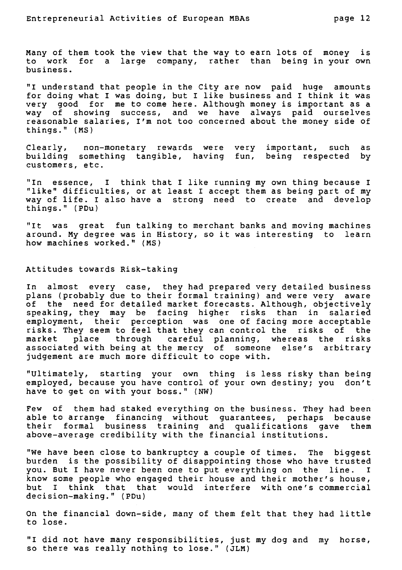many of them took the view that the way to earn lots of money is to work for a large company, rather than being in your own business.

"I understand that people in the City are now paid huge amounts for doing what I was doing, but I like business and I think it was very good for me to come here. Although money is important as a way of showing success, and we have always paid ourselves reasonable salaries, I'm not too concerned about the money side of things." (MS)

Clearly, non-monetary rewards were very important, such as building something tangible, having fun, being respected by customers, etc.

"In essence, I think that I like running my own thing because I "like" difficulties, or at least I accept them as being part of my way of life. I also have a strong need to create and develop things." (PDu)

"It was great fun talking to merchant banks and moving machines around. My degree was in History, so it was interesting to learn how machines worked." (MS)

Attitudes towards Risk-taking

In almost every case, they had prepared very detailed business plans (probably due to their formal training) and were very aware of the need for detailed market forecasts. Although, objectively speaking, they may be facing higher risks than in salaried employment, their perception was one of facing more acceptable risks. They seem to feel that they can control the risks of the market place through careful planning, whereas the risks associated with being at the mercy of someone else's arbitrary judgement are much more difficult to cope with.

"Ultimately, starting your own thing is less risky than being employed, because you have control of your own destiny; you don't have to get on with your boss." (NW)

Few of them had staked everything on the business. They had been able to arrange financing without guarantees, perhaps because their formal business training and qualifications gave them above-average credibility with the financial institutions.

"We have been close to bankruptcy a couple of times. The biggest burden is the possibility of disappointing those who have trusted you. But I have never been one to put everything on the line. I know some people who engaged their house and their mother's house,<br>but I think that that would interfere with one's commercial think that that would interfere with one's commercial decision-making." (PDu)

On the financial down-side, many of them felt that they had little to lose.

"I did not have many responsibilities, just my dog and my horse, so there was really nothing to lose." (JLM)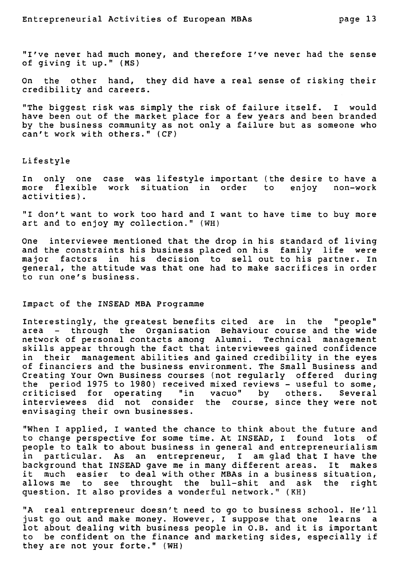"I've never had much money, and therefore I've never had the sense of giving it up." (MS)

On the other hand, they did have a real sense of risking their credibility and careers.

"The biggest risk was simply the risk of failure itself. I would have been out of the market place for a few years and been branded by the business community as not only a failure but as someone who can't work with others." (CF)

#### Lifestyle

In only one case was lifestyle important (the desire to have a more flexible work situation in order to enjoy non-work activities).

"I don't want to work too bard and I want to have time to buy more art and to enjoy my collection." (WH)

One interviewee mentioned that the drop in his standard of living and the constraints his business placed on his family life were major factors in his decision to sell out to his partner. In general, the attitude was that one had to make sacrifices in order to run one's business.

# Impact of the INSEAD MBA Programme

Interestingly, the greatest benefits cited are in the "people" area - through the Organisation Behaviour course and the wide network of personal contacts among Alumni. Technical management skills appear through the fact that interviewees gained confidence in their management abilities and gained credibility in the eyes of financiers and the business environment. The Small Business and Creating Your Own Business courses (not regularly offered during the period 1975 to 1980) received mixed reviews - useful to some,<br>criticised for operating "in vacuo" by others. Several criticised for operating "in vacuo" by others. interviewees did not consider the course, since they were not envisaging their own businesses.

"When I applied, I wanted the chance to think about the future and to change perspective for some time. At INSEAD, I found lots of people to talk to about business in general and entrepreneurialism in particular. As an entrepreneur, I am glad that I have the background that INSEAD gave me in many different areas. It it much easier to deal with other MBAs in a business situation,<br>allows me to see throught the bull-shit and ask the right allows me to see throught the bull-shit and ask the question. It also provides a wonderful network." (KH)

"A real entrepreneur doesn't need to go to business school. He'll just go out and make money. However, I suppose that one learns a lot about dealing with business people in O.B. and it is important to be confident on the finance and marketing sides, especially if they are not your forte." (WH)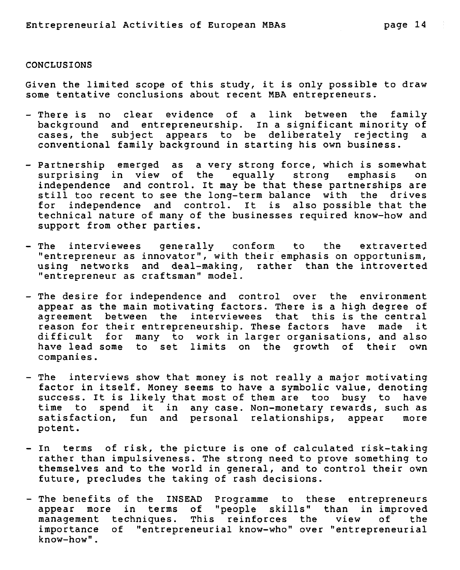#### CONCLUSIONS

Given the limited scope of this study, it is only possible to draw some tentative conclusions about recent MBA entrepreneurs.

- There is no clear evidence of a link between the family background and entrepreneurship. In a significant minority of cases, the subject appears to be deliberately rejecting conventional family background in starting his own business.
- Partnership emerged as a very strong force, which is somewhat<br>surprising in view of the equally strong emphasis on surprising in view of the equally strong emphasis independence and control. It may be that these partnerships are still too recent to see the long-term balance with the drives for independence and control. It is also possible that the technical nature of many of the businesses required know-how and support from other parties.
- The interviewees generally conform to the extraverted "entrepreneur as innovator", with their emphasis on opportunism, using networks and deal-making, rather than the introverted "entrepreneur as craftsman" model.
- The desire for independence and control over the environment appear as the main motivating factors. There is a high degree of agreement between the interviewees that this is the central reason for their entrepreneurship. These factors have made it difficult for many to work in larger organisations, and also have lead some to set limits on the growth of their own companies.
- The interviews show that money is not really a major motivating factor in itself. Money seems to have a symbolic value, denoting success. It is likely that most of them are too busy to have<br>time to spend it in any case. Non-monetary rewards, such as spend it in any case. Non-monetary rewards, such as<br>on, fun and personal relationships, appear more satisfaction, fun and personal relationships, appear potent.
- In terms of risk, the picture is one of calculated risk-taking rather than impulsiveness. The strong need to prove something to themselves and to the world in general, and to control their own future, precludes the taking of rash decisions.
- The benefits of the INSEAD Programme to these entrepreneurs appear more in terms of "people skills" than in improved<br>management techniques. This reinforces the view of the management techniques. This reinforces the view<br>importance of "entrepreneurial know-who" over "entrep: of "entrepreneurial know-who" over "entrepreneurial know-how".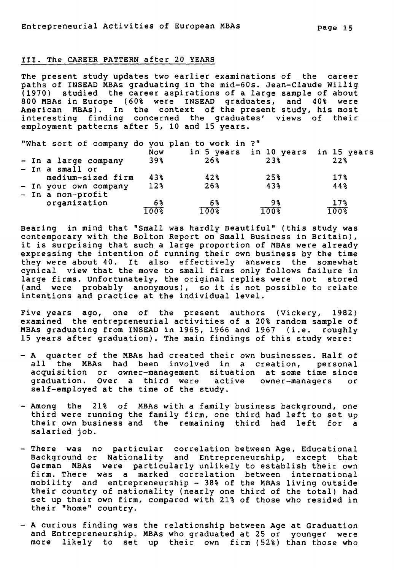#### **III. The CAREER PATTERN after 20 YEARS**

**The present study updates two earlier examinations of the career paths of INSEAD MBAs graduating in the mid-60s. Jean-Claude Willig (1970) studied the career aspirations of a large sample of about 800 MBAs in Europe (60% were INSEAD graduates, and 40% were American MBAs). In the context of the present study, his most interesting finding concerned the graduates' views of their employment patterns after 5, 10 and 15 years.** 

**"What sort of company do you plan to work in ?"** 

|                       | Now    |                   | in 5 years in 10 years in 15 years |                 |
|-----------------------|--------|-------------------|------------------------------------|-----------------|
| - In a large company  | 39%    | 26%               | 23%                                | 22 <sub>8</sub> |
| - In a small or       |        |                   |                                    |                 |
| medium-sized firm     | 43%    | 42%               | 25%                                | $17\%$          |
| - In your own company | $12\%$ | $26$ <sup>8</sup> | 43%                                | 44%             |
| - In a non-profit     |        |                   |                                    |                 |
| organization          | 6%     | 6%                | 98                                 | $17\%$          |
|                       | 100%   | 100%              | 100%                               | 100%            |

**Bearing in mind that "Small was hardly Beautiful" (this study was contemporary with the Bolton Report on Small Business in Britain), it is surprising that such a large proportion of MBAs were already expressing the intention of running their own business by the time they were about 40. It also effectively answers the somewhat cynical view that the move to small firms only follows failure in large firms. Unfortunately, the original replies were not stored (and were probably anonymous), so it is not possible to relate intentions and practice at the individual level.** 

**Five years ago, one of the present authors (Vickery, 1982) examined the entrepreneurial activities of a 20% random sample of MBAs graduating from INSEAD in 1965, 1966 and 1967 (i.e. roughly 15 years after graduation). The main findings of this study were:** 

- **A quarter of the MBAs had created their own businesses. Half of all the MBAs had been involved in a creation, personal acquisition or owner-management situation at some time since graduation. Over a third were active owner-managers or self-employed at the time of the study.**
- **Among the 21% of MBAs with a family business background, one third were running the family firm, one third had left to set up their own business and the remaining third had left for a salaried job.**
- **There was no particular correlation between Age, Educational Background or Nationality and Entrepreneurship, except that German MBAs were particularly unlikely to establish their own firm. There was a marked correlation between international mobility and entrepreneurship - 38% of the MBAs living outside their country of nationality (nearly one third of the total) had set up their own firm, compared with 21% of those who resided in their "home" country.**
- **A curious finding was the relationship between Age at Graduation and Entrepreneurship. MBAs who graduated at 25 or younger were more likely to set up their own firm (52%) than those who**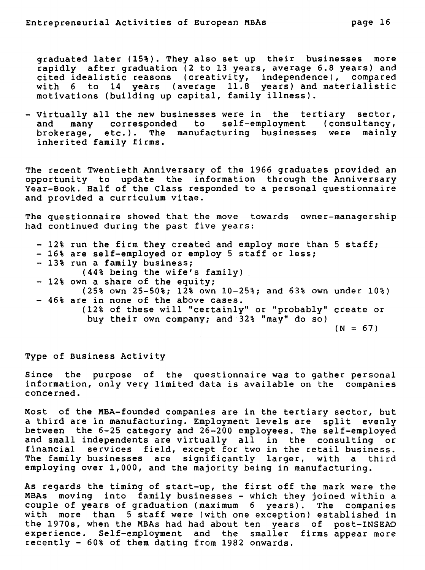**graduated later (15%). They also set up their businesses more rapidly after graduation (2 to 13 years, average 6.8 years) and cited idealistic reasons (creativity, independence), compared with 6 to 14 years (average 11.8 years) and materialistic motivations (building up capital, family illness).** 

**- Virtually all the new businesses were in the tertiary sector, and many corresponded to self-employment (consultancy, brokerage, etc.). The manufacturing businesses were mainly inherited family firms.** 

**The recent Twentieth Anniversary of the 1966 graduates provided an opportunity to update the information through the Anniversary Year-Book. Half of the Class responded to a personal questionnaire and provided a curriculum vitae.** 

**The questionnaire showed that the moue towards owner-managership had continued during the past five years:** 

**- 12% run the firm they created and employ more than 5 staff; - 16% are self-employed or employ 5 staff or less; - 13% run a family business; (44% being the wife's family) - 12% own a share of the equity; (25% own 25-50%; 12% own 10-25%; and 63% own under 10%) - 46% are in none of the above cases. (12% of these will "certainly" or "probably" create or buy their own company; and 32% "may" do so)**   $(N = 67)$ 

**Type of Business Activity** 

**Since the purpose of the questionnaire was to gather personal information, only very limited data is available on the companies concerned.** 

**Most of the MBA-founded companies are in the tertiary sector, but a third are in manufacturing. Employment levels are split evenly between the 6-25 category and 26-200 employees. The self-employed and small independents are virtually all in the consulting or financial services field, except for two in the retail business. The family businesses are significantly larger, with a third employing over 1,000, and the majority being in manufacturing.** 

**As regards the timing of start-up, the first off the mark were the MBAs moving into family businesses - which they joined within a couple of years of graduation (maximum 6 years). The companies with more than 5 staff were (with one exception) established in the 1970s, when the MBAs had had about ten years of post-INSEAD experience. Self-employment and the smaller firms appear more recently - 60% of them dating from 1982 onwards.**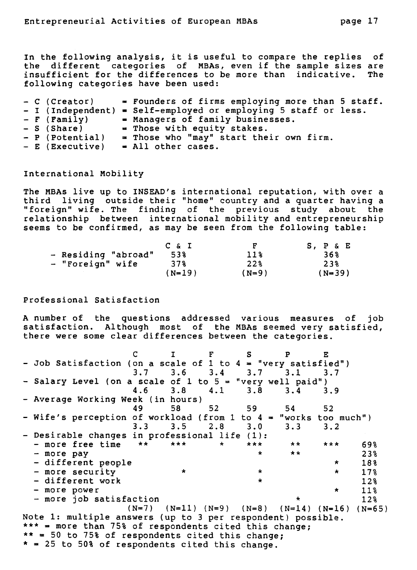**In the following analysis, it is useful to compare the replies of the different categories of MBAs, even if the sample sizes are**  insufficient for the differences to be more than indicative. **following categories have been used:** 

| - C (Creator)   | = Founders of firms employing more than 5 staff.<br>- I (Independent) = Self-employed or employing 5 staff or less. |
|-----------------|---------------------------------------------------------------------------------------------------------------------|
| $-$ F (Family)  | = Managers of family businesses.                                                                                    |
| - S (Share)     | = Those with equity stakes.                                                                                         |
| - P (Potential) | $=$ Those who "may" start their own firm.                                                                           |
| - E (Executive) | $=$ All other cases.                                                                                                |

**International Mobility** 

**The MBAs live up to INSEAD's international reputation, with over a third living outside their "home" country and a quarter having a "foreign" wife. The finding of the previous study about the relationship between international mobility and entrepreneurship seems to be confirmed, as may be seen from the following table:** 

|                     | $C \& I$ | F               | S, P & E |
|---------------------|----------|-----------------|----------|
| - Residing "abroad" | 53%      | 11 <sup>8</sup> | 36%      |
| - "Foreign" wife    | 37%      | 22%             | 238      |
|                     | (N=19)   | $(N=9)$         | $(N=39)$ |

**Professional Satisfaction** 

**A number of the questions addressed various measures of job satisfaction. Although most of the MBAs seemed very satisfied, there were some clear differences between the categories.** 

**C I F S P E - Job Satisfaction (on a scale of 1 to 4 = "very satisfied") 3.7 3.6 3.4 3.7 3.1 3.7 - Salary Level (on a scale of 1 to 5 = "very well paid") 4.6 3.8 4.1 3.8 3.4 3.9 - Average Working Week (in hours) 49 58 52 59 54 52 - Wife's perception of workload (from 1 to 4 = "works too much") 3.3 3.5 2.8 3.0 3.3 3.2 - Desirable changes in professional life (1): - more free time \*\* \*\*\* \* \*\*\* \*\* \*\*\* 69% - more pay \* \*\* 23% - different people \* 18%**  - more security \* \* \* \* \* 17%<br>- different work \* \* \* 12% **- different work \* 12%**   $-$  more power  $\qquad \qquad$   $\qquad$   $\qquad$   $\qquad$   $\qquad$  11%  $\qquad$  11%  $\qquad$  12%  $\qquad$  12%  $-$  more job satisfaction **(N=7) (N=11) (N=9) (N=8) (N=14) (N=16) (N=65) Note 1: multiple answers (up to 3 per respondent) possible. \*\*\* = more than 75% of respondents cited this change; \*\* = 50 to 75% of respondents cited this change; \* = 25 to 50% of respondents cited this change.**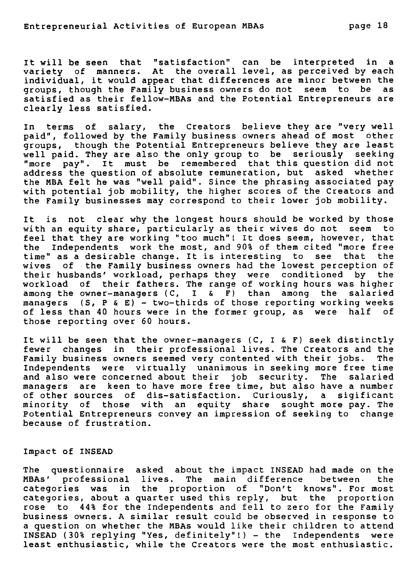**It will be seen that "satisfaction" can be interpreted in a variety of manners. At the overall level, as perceived by each individual, it would appear that differences are minor between the groups, though the Family business owners do not seem to be as satisfied as their fellow-MBAs and the Potential Entrepreneurs are clearly less satisfied.** 

**In terms of salary, the Creators believe they are "very well paid", followed by the Family business owners ahead of most other groups, though the Potential Entrepreneurs believe they are least well paid. They are also the only group to be seriously seeking "more pay". It must be remembered that this question did not address the question of absolute remuneration, but asked whether the MBA felt he was "well paid". Since the phrasing associated pay with potential job mobility, the higher scores of the Creators and the Family businesses may correspond to their lower job mobility.** 

**It is not clear why the longest hours should be worked by those with an equity share, particularly as their wives do not seem to feel that they are working "too much"! It does seem, however, that the Independents work the most, and 90% of them cited "more free time" as a desirable change. It is interesting to see that the wives of the Family business owners had the lowest perception of their husbands' workload, perhaps they were conditioned by the workload of their fathers. The range of working hours was higher among the owner-managers** (C, I & F) **than among the salaried managers (S, P & E) - two-thirds of those reporting working weeks of less than 40 hours were in the former group, as were half of those reporting over 60 hours.** 

**It will be seen that the owner-managers** (C, I & F) **seek distinctly fewer changes in their professional lives. The Creators and the Family business owners seemed very contented with their jobs. The Independents were virtually unanimous in seeking more free time and also were concerned about their job security. The salaried managers are keen to have more free time, but also have a number of other sources of dis-satisfaction. Curiously, a sigificant minority of those with an equity share sought more pay. The Potential Entrepreneurs convey an impression of seeking to change because of frustration.** 

#### **Impact of INSEAD**

**The questionnaire asked about the impact INSEAD had made on the MBAs' professional lives. The main difference between the categories was in the proportion of "Don't knows". For most categories, about a quarter used this reply, but the proportion rose to 44% for the Independents** and fell to zero for the Family business owners. A similar result could be observed in response to a question on whether **the MBAs would** like their children to attend INSEAD (30% replying "Yes, definitely"!) - the Independents **least enthusiastic, while the Creators were the most enthusiastic.**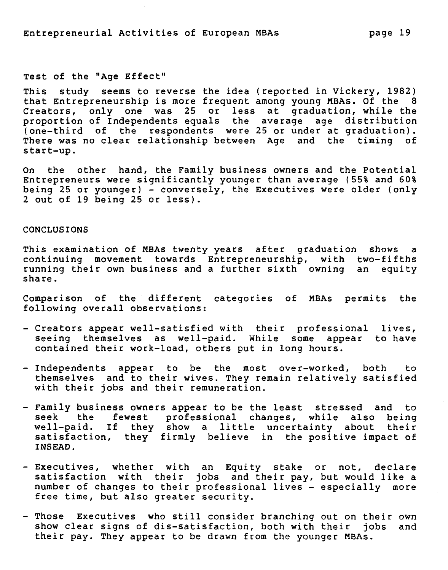#### **Test of the "Age Effect"**

**This study seems to reverse the idea (reported in Vickery, 1982) that Entrepreneurship is more frequent among young MBAs. Of the 8 Creators, only one was 25 or less at graduation, while the proportion of Independents equals the average age distribution (one-third of the respondents were 25 or under at graduation). There was no clear relationship between Age and the timing of start-up.** 

**On the other hand, the Family business owners and the Potentiai Entrepreneurs were significantly younger than average (55% and 60%**  being 25 or younger) - conversely, the Executives were older (only **2 out of 19 being 25 or less).** 

# **CONCLUSIONS**

**This examination of MBAs twenty years after graduation shows a continuing movement towards Entrepreneurship, with two-fifths running their own business and a further sixth owning an equity share.** 

**Comparison of the different categories of MBAs permits the following overall observations:** 

- **Creators appear well-satisfied with their professional lives, seeing themselves as well-paid. While some appear to have contained their work-load, others put in long hours.**
- **Independents appear to be the most over-worked, both to themselves and to their wives. They remain relatively satisfied with their jobs and their remuneration.**
- **Family business owners appear to be the least stressed and to seek the fewest professional changes, while also being well-paid. If they show a littie uncertainty about their satisfaction, they firmly believe in the positive impact of INSEAD.**
- **Executives, whether with an Equity stake or not, declare satisfaction with their jobs and their pay, but would like a number of changes to their professional lives - especially more free time, but also greater security.**
- **Those Executives who still consider branching out on their own show clear signs of dis-satisfaction, both with their jobs and their pay. They appear to be** drawn from the younger **MBAs.**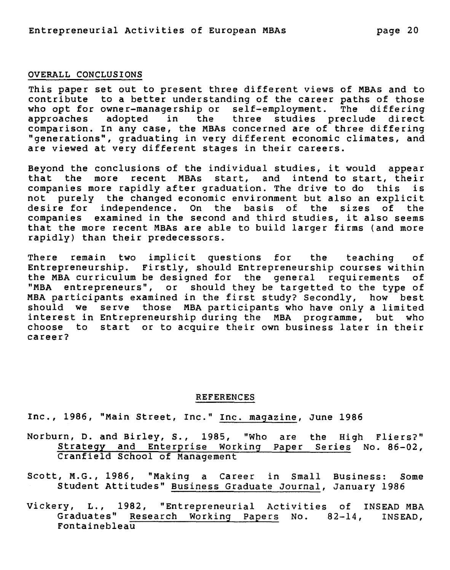#### **OVERALL CONCLUSIONS**

**This paper set out to present three different views of MBAs and to contribute to a better understanding of the career paths of those who opt for owner-managership or self-employment. The differing approaches adopted in the three studies preclude direct comparison. In any case, the MBAs concerned are of three differing "generations", graduating in very different economic climates, and are viewed at very different stages in their careers.** 

**Beyond the conclusions of the individual studies, it would appear that the more recent MBAs start, and intend to start, their companies more rapidly after graduation. The drive to do this is not purely the changed economic environment but also an explicit desire for independence. On the basis of the sizes of the companies examined in the second and third studies, it also seems that the more recent MBAs are able to build larger firms (and more rapidly) than their predecessors.** 

**There remain two implicit questions for the teaching of Entrepreneurship. Firstly, should Entrepreneurship courses within the MBA curriculum be designed for the general requirements of "MBA entrepreneurs", or should they be targetted to the type of MBA participants examined in the first study? Secondly, how best should we serve those MBA participants who have only a limited interest in Entrepreneurship during the MBA programme, but who choose to start or to acquire their own business later in their career?** 

#### **REFERENCES**

**Inc., 1986, "Main Street, Inc." Inc. magazine, June 1986** 

- **Norburn, D. and Birley, S., 1985, "Who are the High Fliers?" Strategy and Enterprise Working Paper Series No. 86-02, Cranfield School of Management**
- **Scott, M.G., 1986, "Making a Career in Small Business: Some Student Attitudes" Business Graduate Journal, January 1986**
- **Vickery, L., 1982, "Entrepreneurial Activities of INSEAD MBA**  Graduates" Research Working Papers No. 82-14, **Fontainebleau**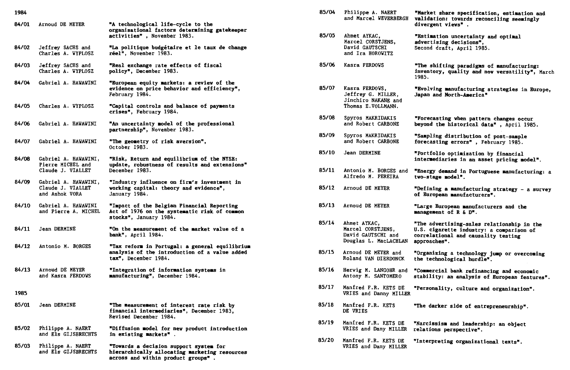| 1984  |                                                                |                                                                                                                               |
|-------|----------------------------------------------------------------|-------------------------------------------------------------------------------------------------------------------------------|
| 84/01 | Arnoud DE MEYER                                                | "A technological life-cycle to the<br>organisational factors determining gatekeeper<br>activities", November 1983.            |
| 84/02 | Jeffrey SACHS and<br>Charles A. WYPLOSZ                        | "La politique budgétaire et le taux de change<br>réel", November 1983.                                                        |
| 84/03 | Jeffrey SACHS and<br>Charles A. WYPLOSZ                        | "Real exchange rate effects of fiscal<br>policy", December 1983.                                                              |
| 84/04 | Gabriel A. HAWAWINI                                            | "European equity markets: a review of the<br>evidence on price behavior and efficiency",<br>February 1984.                    |
| 84/05 | Charles A. WYPLOSZ                                             | "Capital controls and balance of payments<br>crises", February 1984.                                                          |
| 84/06 | Gabriel A. HAWAWINI                                            | "An uncertainty model of the professional<br>partnership", November 1983.                                                     |
| 84/07 | Gabriel A. HAWAWINI                                            | "The geometry of risk aversion",<br>October 1983.                                                                             |
| 84/08 | Gabriel A. HAWAWINI,<br>Pierre MICHEL and<br>Claude J. VIALLET | "Risk, Return and equilibrium of the NYSE:<br>update, robustness of results and extensions"<br>December 1983.                 |
| 84/09 | Gabriel A. HAWAWINI,<br>Claude J. VIALLET<br>and Ashok VORA    | "Industry influence on firm's investment in<br>working capital: theory and evidence",<br>January 1984.                        |
| 84/10 | Gabriel A. HAWAWINI<br>and Pierre A. MICHEL                    | "Impact of the Belgian Financial Reporting<br>Act of 1976 on the systematic risk of common<br>stocks", January 1984.          |
| 84/11 | Jean DERMINE                                                   | "On the measurement of the market value of a<br>bank", April 1984.                                                            |
| 84/12 | Antonio M. BORGES                                              | "Tax reform in Portugal: a general equilibrium<br>analysis of the introduction of a value added<br>tax", December 1984.       |
| 84/13 | Arnoud DE MEYER<br>and Kasra FERDOWS                           | "Integration of information systems in<br>manufacturing", December 1984.                                                      |
| 1985  |                                                                |                                                                                                                               |
| 85/01 | Jean DERMINE                                                   | "The measurement of interest rate risk by<br>financial intermediaries", December 1983,<br><b>Revised December 1984.</b>       |
| 85/02 | Philippe A. NAERT<br>and Els GIJSBRECHTS                       | "Diffusion model for new product introduction<br>in existing markets".                                                        |
| 85/03 | Philippe A. NAERT<br>and Els GIJSBRECHTS                       | "Towards a decision support system for<br>hierarchically allocating marketing resources<br>across and within product groups". |

| 85/04 | Philippe A. NAERT<br>and Marcel WEVERBERGH                                        | "Market share specification, estimation and<br>validation: towards reconciling seemingly<br>divergent views".                                 |
|-------|-----------------------------------------------------------------------------------|-----------------------------------------------------------------------------------------------------------------------------------------------|
| 85/05 | Ahmet AYKAC,<br>Marcel CORSTJENS,<br>David GAUTSCHI<br>and Ira HOROWITZ           | "Estimation uncertainty and optimal<br>advertising decisions",<br>Second draft, April 1985.                                                   |
| 85/06 | Kasra FERDOWS                                                                     | "The shifting paradigms of manufacturing:<br>inventory, quality and now versatility", March<br>1985.                                          |
| 85/07 | Kasra FERDOWS,<br>Jeffrey G. MILLER,<br>Jinchiro NAKANE and<br>Thomas E.VOLLMANN. | "Evolving manufacturing strategies in Europe,<br>Japan and North-America"                                                                     |
| 85/08 | Spyros MAKRIDAKIS<br>and Robert CARBONE                                           | "Forecasting when pattern changes occur<br>beyond the historical data", April 1985.                                                           |
| 85/09 | Spyros MAKRIDAKIS<br>and Robert CARBONE                                           | "Sampling distribution of post-sample<br>forecasting errors", February 1985.                                                                  |
| 85/10 | Jean DERMINE                                                                      | "Portfolio optimization by financial<br>intermediaries in an asset pricing model".                                                            |
| 85/11 | Antonio M. BORGES and<br>Alfredo M. PEREIRA                                       | "Energy demand in Portuguese manufacturing: a<br>two-stage model".                                                                            |
| 85/12 | Arnoud DE MEYER                                                                   | "Defining a manufacturing strategy - a survey<br>of European manufacturers".                                                                  |
| 85/13 | Arnoud DE MEYER                                                                   | "Large European manufacturers and the<br>management of R & D".                                                                                |
| 85/14 | Ahmet AYKAC,<br>Marcel CORSTJENS,<br>David GAUTSCHI and<br>Douglas L. MacLACHLAN  | "The advertising-sales relationship in the<br>U.S. cigarette industry: a comparison of<br>correlational and causality testing<br>approaches". |
| 85/15 | Arnoud DE MEYER and<br>Roland VAN DIERDONCK                                       | "Organizing a technology jump or overcoming<br>the technological hurdle".                                                                     |
| 85/16 | Herwig M. LANGOHR and<br>Antony M. SANTOMERO                                      | "Commercial bank refinancing and economic<br>stability: an analysis of European features".                                                    |
| 85/17 | Manfred F.R. KETS DE<br>VRIES and Danny MILLER                                    | "Personality, culture and organization".                                                                                                      |
| 85/18 | Manfred F.R. KETS<br>DE VRIES                                                     | "The darker side of entrepreneurship".                                                                                                        |
| 85/19 | Manfred F.R. KETS DE<br>VRIES and Dany MILLER                                     | "Narcissism and leadership: an object<br>relations perspective".                                                                              |
| 85/20 | Manfred F.R. KETS DE<br>VRIES and Dany MILLER                                     | "Interpreting organizational texts".                                                                                                          |
|       |                                                                                   |                                                                                                                                               |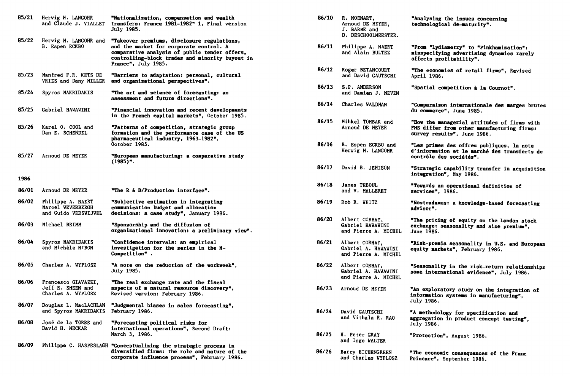| 85/21 | Herwig M. LANGOHR<br>and Claude J. VIALLET                     | "Nationalization, compensation and wealth<br>transfers: France 1981-1982" 1, Final version<br>July 1985.                                                                                                          |
|-------|----------------------------------------------------------------|-------------------------------------------------------------------------------------------------------------------------------------------------------------------------------------------------------------------|
| 85/22 | Herwig M. LANGOHR and<br>B. Espen ECKBO                        | "Takeover premiums, disclosure regulations,<br>and the market for corporate control. A<br>comparative analysis of public tender offers,<br>controlling-block trades and minority buyout in<br>France", July 1985. |
| 85/23 | Manfred F.R. KETS DE<br>VRIES and Dany MILLER                  | "Barriers to adaptation: personal, cultural<br>and organizational perspectives".                                                                                                                                  |
| 85/24 | Spyros MAKRIDAKIS                                              | "The art and science of forecasting: an<br>assessment and future directions".                                                                                                                                     |
| 85/25 | <b>Gabriel HAVAVINI</b>                                        | "Financial innovation and recent developments<br>in the French capital markets", October 1985.                                                                                                                    |
| 85/26 | Karel O. COOL and<br>Dan E. SCHENDEL                           | "Patterns of competition, strategic group<br>formation and the performance case of the US<br>pharmaceutical industry, 1963-1982",<br>October 1985.                                                                |
| 85/27 | Arnoud DE MEYER                                                | "European manufacturing: a comparative study<br>$(1985)$ ".                                                                                                                                                       |
| 1986  |                                                                |                                                                                                                                                                                                                   |
| 86/01 | Arnoud DE MEYER                                                | "The R & D/Production interface".                                                                                                                                                                                 |
| 86/02 | Philippe A. NAERT<br>Marcel WEVERBERGH<br>and Guido VERSVIJVEL | "Subjective estimation in integrating<br>communication budget and allocation<br>decisions: a case study", January 1986.                                                                                           |
| 86/03 | Michael BRIMM                                                  | "Sponsorship and the diffusion of<br>organizational innovation: a preliminary view".                                                                                                                              |
| 86/04 | Spyros MAKRIDAKIS<br>and Michèle HIBON                         | "Confidence intervals: an empirical<br>investigation for the series in the M-<br>Competition".                                                                                                                    |
| 86/05 | Charles A. WYPLOSZ                                             | "A note on the reduction of the workweek",<br>July 1985.                                                                                                                                                          |
| 86/06 | Francesco GIAVAZZI,<br>Jeff R. SHEEN and<br>Charles A. WYPLOSZ | "The real exchange rate and the fiscal<br>aspects of a natural resource discovery",<br>Revised version: February 1986.                                                                                            |
| 86/07 | Douglas L. MacLACHLAN<br>and Spyros MAKRIDAKIS                 | "Judgmental biases in sales forecasting",<br>February 1986.                                                                                                                                                       |
| 86/08 | <b>José de la TORRE and</b><br>David H. NECKAR                 | "Forecasting political risks for<br>international operations", Second Draft:<br>March 3, 1986.                                                                                                                    |
| 86/09 |                                                                | Philippe C. HASPESLAGH "Conceptualizing the strategic process in<br>diversified firms: the role and nature of the<br>corporate influence process", February 1986.                                                 |

| "Nationalization, compensation and wealth<br>transfers: France 1981-1982" 1, Final version<br>July 1985.                                                                                                          | 86/10 | R. MOENART,<br>Arnoud DE MEYER.<br>J. BARBE and<br>D. DESCHOOLMEESTER. | "Analysing the issues concerning<br>technological de-maturity".                                                          |
|-------------------------------------------------------------------------------------------------------------------------------------------------------------------------------------------------------------------|-------|------------------------------------------------------------------------|--------------------------------------------------------------------------------------------------------------------------|
| "Takeover premiums, disclosure regulations,<br>and the market for corporate control. A<br>comparative analysis of public tender offers,<br>controlling-block trades and minority buyout in<br>France", July 1985. | 86/11 | Philippe A. NAERT<br>and Alain BULTEZ                                  | "From "Lydiametry" to "Pinkhamization":<br>misspecifying advertising dynamics rarely<br>affects profitability".          |
| <b>"Barriers to adaptation: personal, cultural</b><br>and organizational perspectives".                                                                                                                           | 86/12 | Roger BETANCOURT<br>and David GAUTSCHI                                 | "The economics of retail firms", Revised<br>April 1986.                                                                  |
| "The art and science of forecasting: an<br>assessment and future directions".                                                                                                                                     | 86/13 | S.P. ANDERSON<br>and Damien J. NEVEN                                   | "Spatial competition à la Cournot".                                                                                      |
| "Financial innovation and recent developments                                                                                                                                                                     | 86/14 | <b>Charles WALDMAN</b>                                                 | "Comparaison internationale des marges brutes<br>du commerce", June 1985.                                                |
| in the French capital markets", October 1985.<br>"Patterns of competition, strategic group<br>formation and the performance case of the US                                                                        | 86/15 | Mihkel TOMBAK and<br>Arnoud DE MEYER                                   | "How the managerial attitudes of firms with<br>FMS differ from other manufacturing firms:<br>survey results", June 1986. |
| pharmaceutical industry, 1963–1982",<br>October 1985.<br>"European manufacturing: a comparative study                                                                                                             | 86/16 | B. Espen ECKBO and<br>Herwig M. LANGOHR                                | "Les primes des offres publiques, la note<br>d'information et le marché des transferts de<br>contrôle des sociétés".     |
| $(1985)$ ".                                                                                                                                                                                                       | 86/17 | David B. JEMISON                                                       | "Strategic capability transfer in acquisition<br>integration", May 1986.                                                 |
| "The R & D/Production interface".                                                                                                                                                                                 | 86/18 | James TEBOUL<br>and V. MALLERET                                        | "Towards an operational definition of<br>services", 1986.                                                                |
| "Subjective estimation in integrating<br>communication budget and allocation<br>decisions: a case study", January 1986.                                                                                           | 86/19 | Rob R. WEITZ                                                           | "Nostradamus: a knowledge-based forecasting<br>advisor".                                                                 |
| "Sponsorship and the diffusion of<br>organizational innovation: a preliminary view".                                                                                                                              | 86/20 | Albert CORHAY,<br>Gabriel HAWAWINI<br>and Pierre A. MICHEL             | "The pricing of equity on the London stock<br>exchange: seasonality and size premium".<br>June 1986.                     |
| "Confidence intervals: an empirical<br>investigation for the series in the M-<br>Competition".                                                                                                                    | 86/21 | Albert CORHAY.<br>Gabriel A. HAWAWINI<br>and Pierre A. MICHEL          | "Risk-premia seasonality in U.S. and European<br>equity markets", February 1986.                                         |
| "A note on the reduction of the workweek",<br>July 1985.                                                                                                                                                          | 86/22 | Albert CORHAY,<br>Gabriel A. HAWAWINI<br>and Pierre A. MICHEL          | "Seasonality in the risk-return relationships<br>some international evidence", July 1986.                                |
| "The real exchange rate and the fiscal<br>aspects of a natural resource discovery",<br><b>Revised version: February 1986.</b>                                                                                     | 86/23 | Arnoud DE MEYER                                                        | "An exploratory study on the integration of<br>information systems in manufacturing",<br>July 1986.                      |
| "Judgmental biases in sales forecasting",<br>February 1986.                                                                                                                                                       | 86/24 | David GAUTSCHI<br>and Vithala R. RAO                                   | "A methodology for specification and<br>aggregation in product concept testing".                                         |
| "Forecasting political risks for<br>international operations", Second Draft:<br>March 3, 1986.                                                                                                                    | 86/25 | H. Peter GRAY                                                          | July 1986.<br>"Protection", August 1986.                                                                                 |
| "Conceptualizing the strategic process in<br>diversified firms: the role and nature of the<br>corporate influence process", February 1986.                                                                        | 86/26 | and Ingo WALTER<br>Barry EICHENGREEN<br>and Charles WYPLOSZ            | "The economic consequences of the Franc<br>Poincare", September 1986.                                                    |
|                                                                                                                                                                                                                   |       |                                                                        |                                                                                                                          |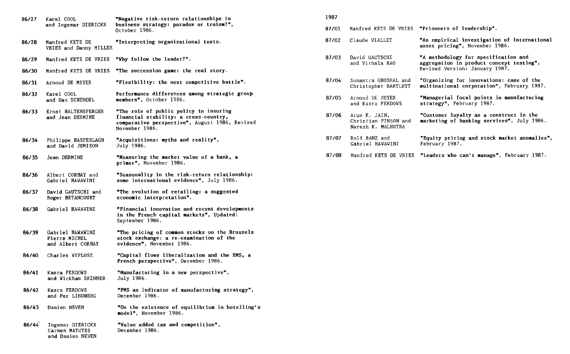| 86/27 | Karel COOL<br>and Ingemar DIERICKX                     | "Negative risk-return relationships in<br>business strategy: paradox or truism?",<br>October 1986.                                                  |  |  |
|-------|--------------------------------------------------------|-----------------------------------------------------------------------------------------------------------------------------------------------------|--|--|
| 86/28 | Manfred KETS DE<br>VRIES and Danny MILLER              | "Interpreting organizational texts.                                                                                                                 |  |  |
| 86/29 | Manfred KETS DE VRIES                                  | "Why follow the leader?".                                                                                                                           |  |  |
| 86/30 | Manfred KETS DE VRIES                                  | "The succession game: the real story.                                                                                                               |  |  |
| 86/31 | Arnoud DE MEYER                                        | "Flexibility: the next competitive battle".                                                                                                         |  |  |
| 86/32 | Karel COOL<br>and Dan SCHENDEL                         | Performance differences among strategic group<br>members", October 1986.                                                                            |  |  |
| 86/33 | Ernst 8ALTENSPERGER<br>and Jean DERMINE                | "The role of public policy in insuring<br>financial stability: a cross-country,<br>comparative perspective", August 1986, Revised<br>November 1986. |  |  |
| 86/34 | Philippe HASPESLAGH<br>and David JEMISON               | "Acquisitions: myths and reality",<br>July 1986.                                                                                                    |  |  |
| 86/35 | Jean DERMINE                                           | "Measuring the market value of a bank, a<br>primer", November 1986.                                                                                 |  |  |
| 86/36 | Albert CORHAY and<br>Gabriel HAVAVINI                  | "Seasonality in the risk-return relationship:<br>some international evidence", July 1986.                                                           |  |  |
| 86/37 | David GAUTSCHI and<br>Roger BETANCOURT                 | "The evolution of retailing: a suggested<br>economic interpretation".                                                                               |  |  |
| 86/38 | Gabriel HAWAWINI                                       | "Financial innovation and recent developments<br>in the French capital markets", Updated:<br>September 1986.                                        |  |  |
| 86/39 | Gabriel HAWAWINI<br>Pierre MICHEL<br>and Albert CORHAY | "The pricing of common stocks on the Brussels<br>stock exchange: a re-examination of the<br>evidence", November 1986.                               |  |  |
| 86/40 | Charles WYPLOSZ                                        | "Capital flows liberalization and the EMS, a<br>French perspective", December 1986.                                                                 |  |  |
| 86/41 | Kasra FERDOWS<br>and Wickham SKINNER                   | "Manufacturing in a new perspective",<br>July 1986.                                                                                                 |  |  |
| 86/42 | Kasra FERDOVS<br>and Per LIND8ERG                      | "FMS as indicator of manufacturing strategy",<br>December 1986.                                                                                     |  |  |
| 86/43 | Damien NEVEN                                           | "On the existence of equilibrium in hotelling's<br>model", November 1986.                                                                           |  |  |
| 86/44 | Ingemar DIERICKX<br>Carmen MATUTES<br>and Damien NEVEN | "Value added tax and competition",<br>December 1986.                                                                                                |  |  |

#### **1987**

|  |  |  |  |  |  |  | 87/01 Manfred KETS DE VRIES "Prisoners of leadership". |
|--|--|--|--|--|--|--|--------------------------------------------------------|
|--|--|--|--|--|--|--|--------------------------------------------------------|

- 87/02 Claude VIALLET 87/03 David GAUTSCHI **"An empirical investigation of international asset pricing",** November 1986. **"A methodology for specification and** 
	- and Vithala RAO **aggregation in product concept testing",**  Revised Version: January 1987.
- 87/04 Sumantra GHOSHAL and Christopher BARTLETT **"Organizing for innovations: case of the multinational corporation",** February 1987.
- 87/05 Arnoud DE MEYER and Kasra FERDOWS **"Managerial focal points in manufacturing strategy",** February 1987.
- 87/06 Arun K. JAIN, Christian PINSON and Naresh K. MALHOTRA **"Customer loyalty as a construct in the marketing of banking services",** July 1986.
- **87/07** Rolf BANZ and **"Equity pricing and stock market anomalies",**  Gabriel HAWAWINI
- **87/08** Manfred KETS DE VRIES **"Leaders vho can't manage", February 1987.**